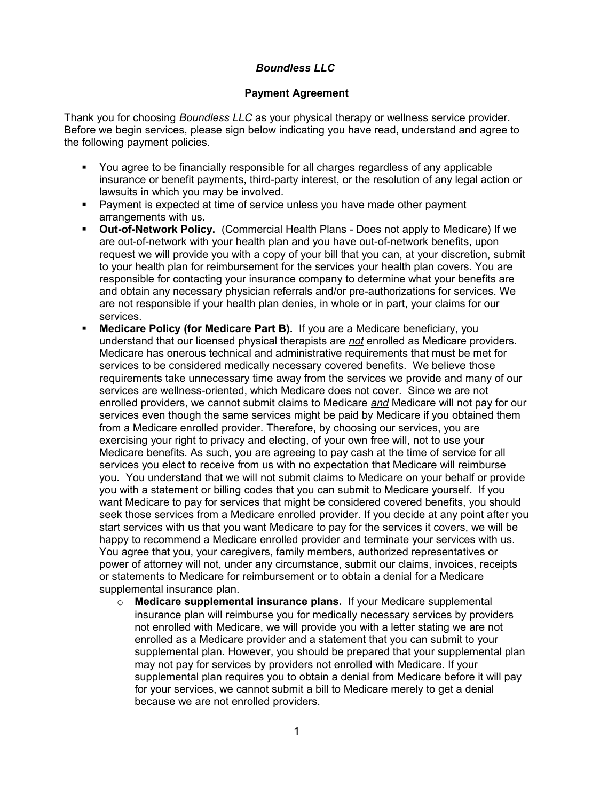## *Boundless LLC*

## **Payment Agreement**

Thank you for choosing *Boundless LLC* as your physical therapy or wellness service provider. Before we begin services, please sign below indicating you have read, understand and agree to the following payment policies.

- You agree to be financially responsible for all charges regardless of any applicable insurance or benefit payments, third-party interest, or the resolution of any legal action or lawsuits in which you may be involved.
- **Payment is expected at time of service unless you have made other payment** arrangements with us.
- **Out-of-Network Policy.** (Commercial Health Plans Does not apply to Medicare) If we are out-of-network with your health plan and you have out-of-network benefits, upon request we will provide you with a copy of your bill that you can, at your discretion, submit to your health plan for reimbursement for the services your health plan covers. You are responsible for contacting your insurance company to determine what your benefits are and obtain any necessary physician referrals and/or pre-authorizations for services. We are not responsible if your health plan denies, in whole or in part, your claims for our services.
- **Medicare Policy (for Medicare Part B).** If you are a Medicare beneficiary, you understand that our licensed physical therapists are *not* enrolled as Medicare providers. Medicare has onerous technical and administrative requirements that must be met for services to be considered medically necessary covered benefits. We believe those requirements take unnecessary time away from the services we provide and many of our services are wellness-oriented, which Medicare does not cover. Since we are not enrolled providers, we cannot submit claims to Medicare *and* Medicare will not pay for our services even though the same services might be paid by Medicare if you obtained them from a Medicare enrolled provider. Therefore, by choosing our services, you are exercising your right to privacy and electing, of your own free will, not to use your Medicare benefits. As such, you are agreeing to pay cash at the time of service for all services you elect to receive from us with no expectation that Medicare will reimburse you. You understand that we will not submit claims to Medicare on your behalf or provide you with a statement or billing codes that you can submit to Medicare yourself. If you want Medicare to pay for services that might be considered covered benefits, you should seek those services from a Medicare enrolled provider. If you decide at any point after you start services with us that you want Medicare to pay for the services it covers, we will be happy to recommend a Medicare enrolled provider and terminate your services with us. You agree that you, your caregivers, family members, authorized representatives or power of attorney will not, under any circumstance, submit our claims, invoices, receipts or statements to Medicare for reimbursement or to obtain a denial for a Medicare supplemental insurance plan.
	- o **Medicare supplemental insurance plans.** If your Medicare supplemental insurance plan will reimburse you for medically necessary services by providers not enrolled with Medicare, we will provide you with a letter stating we are not enrolled as a Medicare provider and a statement that you can submit to your supplemental plan. However, you should be prepared that your supplemental plan may not pay for services by providers not enrolled with Medicare. If your supplemental plan requires you to obtain a denial from Medicare before it will pay for your services, we cannot submit a bill to Medicare merely to get a denial because we are not enrolled providers.